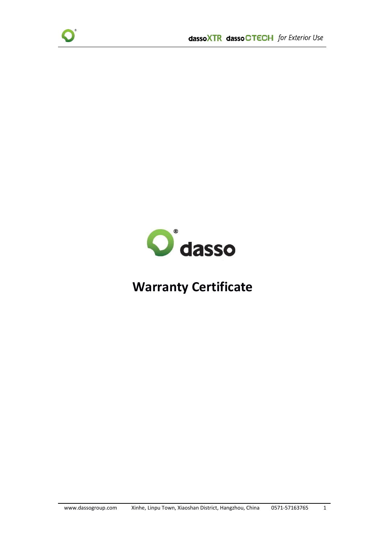



# **Warranty Certificate**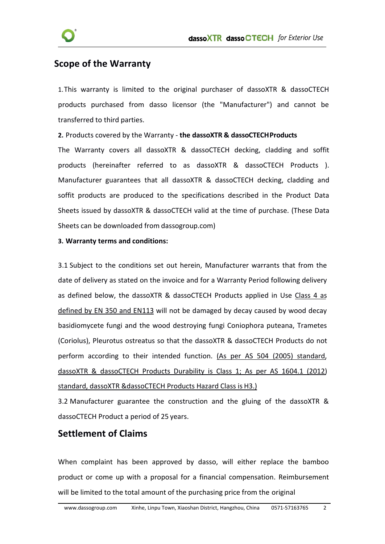

### **Scope of the Warranty**

1. This warranty is limited to the original purchaser of dassoXTR & dassoCTECH products purchased from dasso licensor (the "Manufacturer") and cannot be transferred to third parties.

**2.** Products covered by the Warranty - **the dassoXTR & dassoCTECHProducts**

The Warranty covers all dassoXTR & dassoCTECH decking, cladding and soffit products (hereinafter referred to as dassoXTR & dassoCTECH Products). Manufacturer guarantees that all dassoXTR & dassoCTECH decking, cladding and soffit products are produced to the specifications described in the Product Data Sheets issued by dassoXTR & dassoCTECH valid at the time of purchase. (These Data Sheets can be downloaded from dassogroup.com)

#### **3. Warranty terms and conditions:**

3.1 Subject to the conditions set out herein, Manufacturer warrants that from the date of delivery as stated on the invoice and for a Warranty Period following delivery as defined below, the dassoXTR & dassoCTECH Products applied in Use Class 4 as defined by EN 350 and EN113 will not be damaged by decay caused by wood decay basidiomycete fungi and the wood destroying fungi Coniophora puteana, Trametes (Coriolus), Pleurotus ostreatus so that the dassoXTR & dassoCTECH Products do not perform according to their intended function. (As per AS 504 (2005) standard, dassoXTR & dassoCTECH Products Durability is Class 1; As per AS 1604.1 (2012) standard, dassoXTR &dassoCTECH Products Hazard Class is H3.)

3.2 Manufacturer guarantee the construction and the gluing of the dassoXTR & dassoCTECH Product a period of 25 years.

#### **Settlement of Claims**

When complaint has been approved by dasso, will either replace the bamboo product or come up with aproposal for a financial compensation. Reimbursement will be limited to the total amount of the purchasing price from the original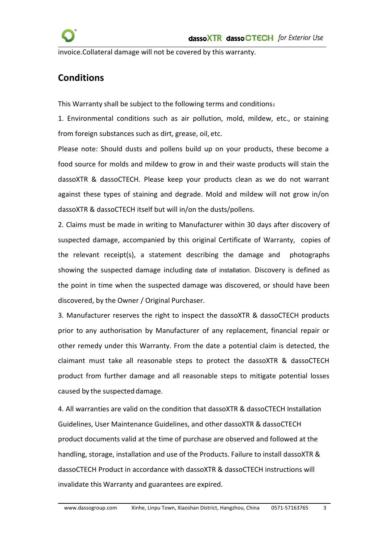invoice.Collateral damage will not be covered by this warranty.

# **Conditions**

This Warranty shall be subject to the following terms and conditions:

1. Environmental conditions such as air pollution, mold, mildew, etc., or staining from foreign substances such as dirt, grease, oil, etc.

Please note: Should dusts and pollens build up on your products, these become a food source for molds and mildew to grow in and their waste products will stain the dassoXTR & dassoCTECH. Please keep your products clean as we do not warrant against these types of staining and degrade. Mold and mildew will not grow in/on dassoXTR & dassoCTECH itself but will in/on the dusts/pollens.

2. Claims must be made in writing to Manufacturer within 30 days after discovery of suspected damage, accompanied by this original Certificate of Warranty, copies of the relevant receipt(s), a statement describing the damage and photographs showing the suspected damage including date of installation. Discovery is defined as the point in time when the suspected damage was discovered, or should have been discovered, by the Owner / Original Purchaser.

3. Manufacturer reserves the right to inspect the dassoXTR & dassoCTECH products prior to any authorisation by Manufacturer of any replacement, financial repair or other remedy under this Warranty. From the date a potential claim is detected, the claimant must take all reasonable steps to protect the dassoXTR & dassoCTECH product from further damage and all reasonable steps to mitigate potential losses caused by the suspected damage.

4. All warranties are valid on the condition that dassoXTR & dassoCTECH Installation Guidelines, User Maintenance Guidelines, and other dassoXTR & dassoCTECH product documents valid at the time of purchase are observed and followed at the handling, storage, installation and use of the Products. Failure to install dassoXTR & dassoCTECH Product in accordance with dassoXTR & dassoCTECH instructions will invalidate this Warranty and guarantees are expired.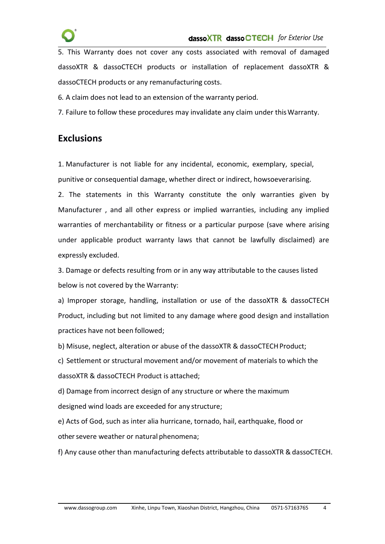

5. This Warranty does not cover any costs associated with removal of damaged dassoXTR & dassoCTECH products or installation of replacement dassoXTR & dassoCTECH products or any remanufacturing costs.

6. A claim does not lead to an extension of the warranty period.

7. Failure to follow these procedures may invalidate any claim under thisWarranty.

### **Exclusions**

1. Manufacturer is not liable for any incidental, economic, exemplary, special, punitive or consequential damage, whether direct or indirect, howsoeverarising.

2. The statements in this Warranty constitute the only warranties given by Manufacturer , and all other express or implied warranties, including any implied warranties of merchantability or fitness or a particular purpose (save where arising under applicable product warranty laws that cannot be lawfully disclaimed) are expressly excluded.

3. Damage or defects resulting from or in any way attributable to the causes listed below is not covered by the Warranty:

a) Improper storage, handling, installation or use of the dassoXTR & dassoCTECH Product, including but not limited to any damage where good design and installation practices have not been followed;

b) Misuse, neglect, alteration or abuse of the dassoXTR & dassoCTECHProduct;

c) Settlement or structural movement and/or movement of materials to which the dassoXTR & dassoCTECH Product is attached;

d) Damage from incorrect design of any structure or where the maximum designed wind loads are exceeded for any structure;

e) Acts of God, such as inter alia hurricane, tornado, hail, earthquake, flood or other severe weather or natural phenomena;

f) Any cause other than manufacturing defects attributable to dassoXTR & dassoCTECH.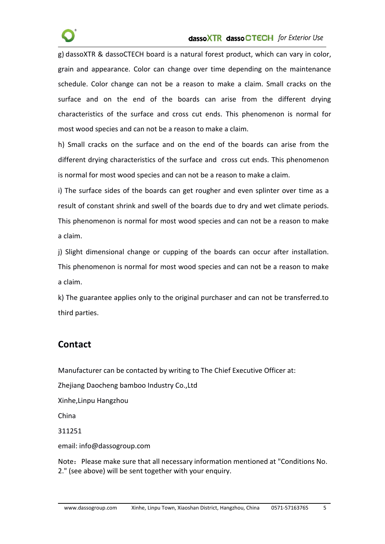g) dassoXTR & dassoCTECH board is a natural forest product, which can vary in color, grain and appearance. Color can change over time depending on the maintenance schedule. Color change can not be a reason to make a claim. Small cracks on the surface and on the end of the boards can arise from the different drying characteristics of the surface and cross cut ends. This phenomenon is normal for most wood species and can not be a reason to make a claim.

h) Small cracks on the surface and on the end of the boards can arise from the different drying characteristics of the surface and cross cut ends. This phenomenon is normal for most wood species and can not be a reason to make a claim.

i) The surface sides of the boards can get rougher and even splinter over time as a result of constant shrink and swell of the boards due to dry and wet climate periods. This phenomenon is normal for most wood species and can not be a reason to make a claim.

j) Slight dimensional change or cupping of the boards can occur after installation. This phenomenon is normal for most wood species and can not be a reason to make a claim.

k) The guarantee applies only to the original purchaser and can not be transferred.to third parties.

## **Contact**

Manufacturer can be contacted by writing to The Chief Executive Officer at:

Zhejiang Daocheng bamboo Industry Co.,Ltd

Xinhe,Linpu Hangzhou

China

311251

email: [info@dassogroup.com](mailto:info@dassogroup.com)

Note: Please make sure that all necessary information mentioned at "Conditions No. 2." (see above) will be sent together with your enquiry.